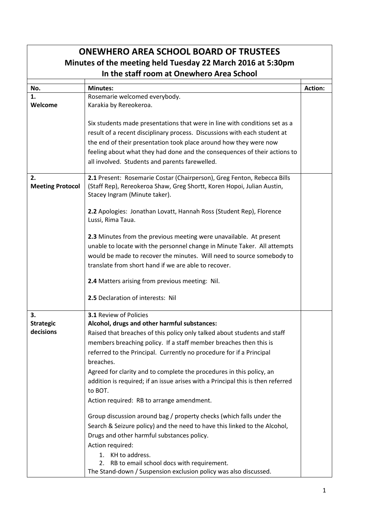|                               | <b>ONEWHERO AREA SCHOOL BOARD OF TRUSTEES</b>                                   |                |
|-------------------------------|---------------------------------------------------------------------------------|----------------|
|                               | Minutes of the meeting held Tuesday 22 March 2016 at 5:30pm                     |                |
|                               | In the staff room at Onewhero Area School                                       |                |
| No.                           | <b>Minutes:</b>                                                                 | <b>Action:</b> |
| 1.                            | Rosemarie welcomed everybody.                                                   |                |
| Welcome                       | Karakia by Rereokeroa.                                                          |                |
|                               |                                                                                 |                |
|                               | Six students made presentations that were in line with conditions set as a      |                |
|                               | result of a recent disciplinary process. Discussions with each student at       |                |
|                               | the end of their presentation took place around how they were now               |                |
|                               | feeling about what they had done and the consequences of their actions to       |                |
|                               | all involved. Students and parents farewelled.                                  |                |
|                               |                                                                                 |                |
| 2.                            | 2.1 Present: Rosemarie Costar (Chairperson), Greg Fenton, Rebecca Bills         |                |
| <b>Meeting Protocol</b>       | (Staff Rep), Rereokeroa Shaw, Greg Shortt, Koren Hopoi, Julian Austin,          |                |
|                               | Stacey Ingram (Minute taker).                                                   |                |
|                               | 2.2 Apologies: Jonathan Lovatt, Hannah Ross (Student Rep), Florence             |                |
|                               | Lussi, Rima Taua.                                                               |                |
|                               |                                                                                 |                |
|                               | 2.3 Minutes from the previous meeting were unavailable. At present              |                |
|                               | unable to locate with the personnel change in Minute Taker. All attempts        |                |
|                               | would be made to recover the minutes. Will need to source somebody to           |                |
|                               | translate from short hand if we are able to recover.                            |                |
|                               |                                                                                 |                |
|                               | 2.4 Matters arising from previous meeting: Nil.                                 |                |
|                               | 2.5 Declaration of interests: Nil                                               |                |
|                               |                                                                                 |                |
| 3.                            | <b>3.1 Review of Policies</b>                                                   |                |
| <b>Strategic</b><br>decisions | Alcohol, drugs and other harmful substances:                                    |                |
|                               | Raised that breaches of this policy only talked about students and staff        |                |
|                               | members breaching policy. If a staff member breaches then this is               |                |
|                               | referred to the Principal. Currently no procedure for if a Principal            |                |
|                               | breaches.                                                                       |                |
|                               | Agreed for clarity and to complete the procedures in this policy, an            |                |
|                               | addition is required; if an issue arises with a Principal this is then referred |                |
|                               | to BOT.                                                                         |                |
|                               | Action required: RB to arrange amendment.                                       |                |
|                               | Group discussion around bag / property checks (which falls under the            |                |
|                               | Search & Seizure policy) and the need to have this linked to the Alcohol,       |                |
|                               | Drugs and other harmful substances policy.                                      |                |
|                               | Action required:                                                                |                |
|                               | KH to address.<br>1.                                                            |                |
|                               | RB to email school docs with requirement.<br>2.                                 |                |
|                               | The Stand-down / Suspension exclusion policy was also discussed.                |                |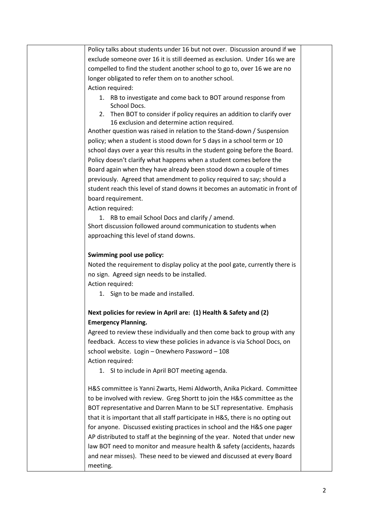Policy talks about students under 16 but not over. Discussion around if we exclude someone over 16 it is still deemed as exclusion. Under 16s we are compelled to find the student another school to go to, over 16 we are no longer obligated to refer them on to another school. Action required:

- 1. RB to investigate and come back to BOT around response from School Docs.
- 2. Then BOT to consider if policy requires an addition to clarify over 16 exclusion and determine action required.

Another question was raised in relation to the Stand-down / Suspension policy; when a student is stood down for 5 days in a school term or 10 school days over a year this results in the student going before the Board. Policy doesn't clarify what happens when a student comes before the Board again when they have already been stood down a couple of times previously. Agreed that amendment to policy required to say; should a student reach this level of stand downs it becomes an automatic in front of board requirement.

Action required:

1. RB to email School Docs and clarify / amend. Short discussion followed around communication to students when approaching this level of stand downs.

## **Swimming pool use policy:**

Noted the requirement to display policy at the pool gate, currently there is no sign. Agreed sign needs to be installed.

Action required:

1. Sign to be made and installed.

## **Next policies for review in April are: (1) Health & Safety and (2) Emergency Planning.**

Agreed to review these individually and then come back to group with any feedback. Access to view these policies in advance is via School Docs, on school website. Login – 0newhero Password – 108 Action required:

1. SI to include in April BOT meeting agenda.

H&S committee is Yanni Zwarts, Hemi Aldworth, Anika Pickard. Committee to be involved with review. Greg Shortt to join the H&S committee as the BOT representative and Darren Mann to be SLT representative. Emphasis that it is important that all staff participate in H&S, there is no opting out for anyone. Discussed existing practices in school and the H&S one pager AP distributed to staff at the beginning of the year. Noted that under new law BOT need to monitor and measure health & safety (accidents, hazards and near misses). These need to be viewed and discussed at every Board meeting.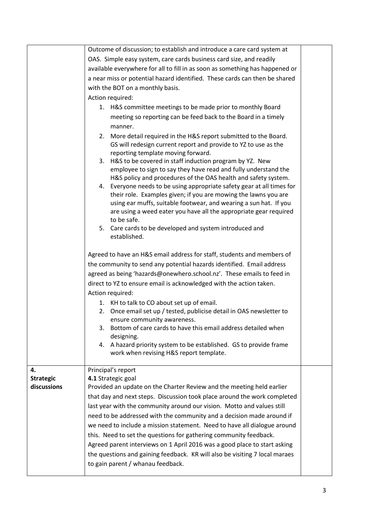|                  | Outcome of discussion; to establish and introduce a care card system at                                                                                                    |  |
|------------------|----------------------------------------------------------------------------------------------------------------------------------------------------------------------------|--|
|                  | OAS. Simple easy system, care cards business card size, and readily                                                                                                        |  |
|                  | available everywhere for all to fill in as soon as something has happened or                                                                                               |  |
|                  | a near miss or potential hazard identified. These cards can then be shared                                                                                                 |  |
|                  | with the BOT on a monthly basis.                                                                                                                                           |  |
|                  |                                                                                                                                                                            |  |
|                  | Action required:                                                                                                                                                           |  |
|                  | 1. H&S committee meetings to be made prior to monthly Board                                                                                                                |  |
|                  | meeting so reporting can be feed back to the Board in a timely                                                                                                             |  |
|                  | manner.                                                                                                                                                                    |  |
|                  | 2. More detail required in the H&S report submitted to the Board.<br>GS will redesign current report and provide to YZ to use as the<br>reporting template moving forward. |  |
|                  | 3. H&S to be covered in staff induction program by YZ. New                                                                                                                 |  |
|                  | employee to sign to say they have read and fully understand the                                                                                                            |  |
|                  | H&S policy and procedures of the OAS health and safety system.                                                                                                             |  |
|                  | 4. Everyone needs to be using appropriate safety gear at all times for                                                                                                     |  |
|                  | their role. Examples given; if you are mowing the lawns you are                                                                                                            |  |
|                  | using ear muffs, suitable footwear, and wearing a sun hat. If you                                                                                                          |  |
|                  | are using a weed eater you have all the appropriate gear required                                                                                                          |  |
|                  | to be safe.                                                                                                                                                                |  |
|                  | 5. Care cards to be developed and system introduced and<br>established.                                                                                                    |  |
|                  | Agreed to have an H&S email address for staff, students and members of                                                                                                     |  |
|                  |                                                                                                                                                                            |  |
|                  | the community to send any potential hazards identified. Email address                                                                                                      |  |
|                  | agreed as being 'hazards@onewhero.school.nz'. These emails to feed in                                                                                                      |  |
|                  | direct to YZ to ensure email is acknowledged with the action taken.                                                                                                        |  |
|                  | Action required:                                                                                                                                                           |  |
|                  | 1. KH to talk to CO about set up of email.                                                                                                                                 |  |
|                  | 2. Once email set up / tested, publicise detail in OAS newsletter to                                                                                                       |  |
|                  | ensure community awareness.                                                                                                                                                |  |
|                  | Bottom of care cards to have this email address detailed when<br>3.                                                                                                        |  |
|                  | designing.                                                                                                                                                                 |  |
|                  | 4. A hazard priority system to be established. GS to provide frame<br>work when revising H&S report template.                                                              |  |
| 4.               | Principal's report                                                                                                                                                         |  |
| <b>Strategic</b> | 4.1 Strategic goal                                                                                                                                                         |  |
| discussions      | Provided an update on the Charter Review and the meeting held earlier                                                                                                      |  |
|                  | that day and next steps. Discussion took place around the work completed                                                                                                   |  |
|                  | last year with the community around our vision. Motto and values still                                                                                                     |  |
|                  |                                                                                                                                                                            |  |
|                  | need to be addressed with the community and a decision made around if                                                                                                      |  |
|                  | we need to include a mission statement. Need to have all dialogue around                                                                                                   |  |
|                  | this. Need to set the questions for gathering community feedback.                                                                                                          |  |
|                  | Agreed parent interviews on 1 April 2016 was a good place to start asking                                                                                                  |  |
|                  | the questions and gaining feedback. KR will also be visiting 7 local maraes                                                                                                |  |
|                  | to gain parent / whanau feedback.                                                                                                                                          |  |
|                  |                                                                                                                                                                            |  |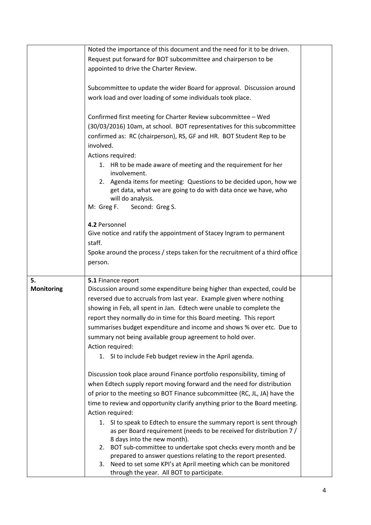|                   | Noted the importance of this document and the need for it to be driven.                                           |  |
|-------------------|-------------------------------------------------------------------------------------------------------------------|--|
|                   | Request put forward for BOT subcommittee and chairperson to be                                                    |  |
|                   |                                                                                                                   |  |
|                   | appointed to drive the Charter Review.                                                                            |  |
|                   | Subcommittee to update the wider Board for approval. Discussion around                                            |  |
|                   | work load and over loading of some individuals took place.                                                        |  |
|                   |                                                                                                                   |  |
|                   | Confirmed first meeting for Charter Review subcommittee - Wed                                                     |  |
|                   | (30/03/2016) 10am, at school. BOT representatives for this subcommittee                                           |  |
|                   | confirmed as: RC (chairperson), RS, GF and HR. BOT Student Rep to be                                              |  |
|                   | involved.                                                                                                         |  |
|                   | Actions required:                                                                                                 |  |
|                   | 1. HR to be made aware of meeting and the requirement for her<br>involvement.                                     |  |
|                   | 2. Agenda items for meeting: Questions to be decided upon, how we                                                 |  |
|                   | get data, what we are going to do with data once we have, who                                                     |  |
|                   | will do analysis.                                                                                                 |  |
|                   | M: Greg F.<br>Second: Greg S.                                                                                     |  |
|                   | 4.2 Personnel                                                                                                     |  |
|                   | Give notice and ratify the appointment of Stacey Ingram to permanent                                              |  |
|                   | staff.                                                                                                            |  |
|                   | Spoke around the process / steps taken for the recruitment of a third office                                      |  |
|                   | person.                                                                                                           |  |
|                   |                                                                                                                   |  |
| 5.                | 5.1 Finance report                                                                                                |  |
| <b>Monitoring</b> | Discussion around some expenditure being higher than expected, could be                                           |  |
|                   | reversed due to accruals from last year. Example given where nothing                                              |  |
|                   | showing in Feb, all spent in Jan. Edtech were unable to complete the                                              |  |
|                   | report they normally do in time for this Board meeting. This report                                               |  |
|                   | summarises budget expenditure and income and shows % over etc. Due to                                             |  |
|                   | summary not being available group agreement to hold over.                                                         |  |
|                   | Action required:                                                                                                  |  |
|                   | 1. SI to include Feb budget review in the April agenda.                                                           |  |
|                   | Discussion took place around Finance portfolio responsibility, timing of                                          |  |
|                   | when Edtech supply report moving forward and the need for distribution                                            |  |
|                   | of prior to the meeting so BOT Finance subcommittee (RC, JL, JA) have the                                         |  |
|                   | time to review and opportunity clarify anything prior to the Board meeting.                                       |  |
|                   | Action required:                                                                                                  |  |
|                   | SI to speak to Edtech to ensure the summary report is sent through<br>1.                                          |  |
|                   | as per Board requirement (needs to be received for distribution 7 /                                               |  |
|                   | 8 days into the new month).                                                                                       |  |
|                   | 2. BOT sub-committee to undertake spot checks every month and be                                                  |  |
|                   | prepared to answer questions relating to the report presented.                                                    |  |
|                   | Need to set some KPI's at April meeting which can be monitored<br>3.<br>through the year. All BOT to participate. |  |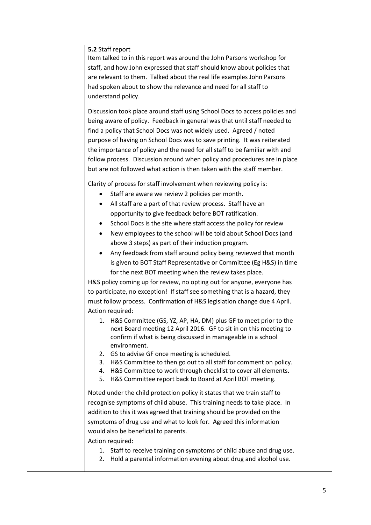## **5.2** Staff report

Item talked to in this report was around the John Parsons workshop for staff, and how John expressed that staff should know about policies that are relevant to them. Talked about the real life examples John Parsons had spoken about to show the relevance and need for all staff to understand policy.

Discussion took place around staff using School Docs to access policies and being aware of policy. Feedback in general was that until staff needed to find a policy that School Docs was not widely used. Agreed / noted purpose of having on School Docs was to save printing. It was reiterated the importance of policy and the need for all staff to be familiar with and follow process. Discussion around when policy and procedures are in place but are not followed what action is then taken with the staff member.

Clarity of process for staff involvement when reviewing policy is:

- Staff are aware we review 2 policies per month.
- All staff are a part of that review process. Staff have an opportunity to give feedback before BOT ratification.
- School Docs is the site where staff access the policy for review
- New employees to the school will be told about School Docs (and above 3 steps) as part of their induction program.
- Any feedback from staff around policy being reviewed that month is given to BOT Staff Representative or Committee (Eg H&S) in time for the next BOT meeting when the review takes place.

H&S policy coming up for review, no opting out for anyone, everyone has to participate, no exception! If staff see something that is a hazard, they must follow process. Confirmation of H&S legislation change due 4 April. Action required:

- 1. H&S Committee (GS, YZ, AP, HA, DM) plus GF to meet prior to the next Board meeting 12 April 2016. GF to sit in on this meeting to confirm if what is being discussed in manageable in a school environment.
- 2. GS to advise GF once meeting is scheduled.
- 3. H&S Committee to then go out to all staff for comment on policy.
- 4. H&S Committee to work through checklist to cover all elements.
- 5. H&S Committee report back to Board at April BOT meeting.

Noted under the child protection policy it states that we train staff to recognise symptoms of child abuse. This training needs to take place. In addition to this it was agreed that training should be provided on the symptoms of drug use and what to look for. Agreed this information would also be beneficial to parents.

Action required:

- 1. Staff to receive training on symptoms of child abuse and drug use.
- 2. Hold a parental information evening about drug and alcohol use.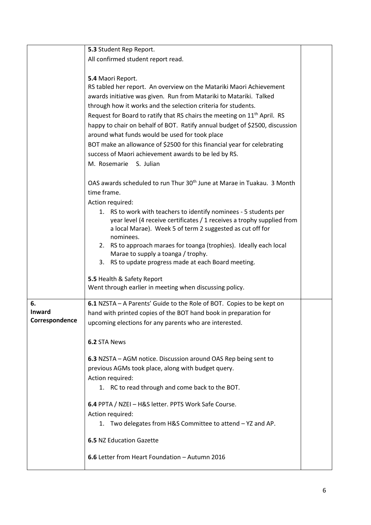|                | 5.3 Student Rep Report.                                                                                  |  |
|----------------|----------------------------------------------------------------------------------------------------------|--|
|                | All confirmed student report read.                                                                       |  |
|                |                                                                                                          |  |
|                | 5.4 Maori Report.                                                                                        |  |
|                | RS tabled her report. An overview on the Matariki Maori Achievement                                      |  |
|                | awards initiative was given. Run from Matariki to Matariki. Talked                                       |  |
|                | through how it works and the selection criteria for students.                                            |  |
|                | Request for Board to ratify that RS chairs the meeting on 11 <sup>th</sup> April. RS                     |  |
|                | happy to chair on behalf of BOT. Ratify annual budget of \$2500, discussion                              |  |
|                | around what funds would be used for took place                                                           |  |
|                | BOT make an allowance of \$2500 for this financial year for celebrating                                  |  |
|                | success of Maori achievement awards to be led by RS.<br>M. Rosemarie<br>S. Julian                        |  |
|                |                                                                                                          |  |
|                | OAS awards scheduled to run Thur 30 <sup>th</sup> June at Marae in Tuakau. 3 Month                       |  |
|                | time frame.                                                                                              |  |
|                | Action required:                                                                                         |  |
|                | 1. RS to work with teachers to identify nominees - 5 students per                                        |  |
|                | year level (4 receive certificates / 1 receives a trophy supplied from                                   |  |
|                | a local Marae). Week 5 of term 2 suggested as cut off for                                                |  |
|                | nominees.                                                                                                |  |
|                | 2. RS to approach maraes for toanga (trophies). Ideally each local<br>Marae to supply a toanga / trophy. |  |
|                | 3. RS to update progress made at each Board meeting.                                                     |  |
|                |                                                                                                          |  |
|                | 5.5 Health & Safety Report                                                                               |  |
|                | Went through earlier in meeting when discussing policy.                                                  |  |
| 6.             | 6.1 NZSTA - A Parents' Guide to the Role of BOT. Copies to be kept on                                    |  |
| <b>Inward</b>  | hand with printed copies of the BOT hand book in preparation for                                         |  |
| Correspondence | upcoming elections for any parents who are interested.                                                   |  |
|                |                                                                                                          |  |
|                | 6.2 STA News                                                                                             |  |
|                | 6.3 NZSTA - AGM notice. Discussion around OAS Rep being sent to                                          |  |
|                | previous AGMs took place, along with budget query.                                                       |  |
|                | Action required:                                                                                         |  |
|                | 1. RC to read through and come back to the BOT.                                                          |  |
|                |                                                                                                          |  |
|                | 6.4 PPTA / NZEI - H&S letter. PPTS Work Safe Course.                                                     |  |
|                | Action required:                                                                                         |  |
|                | 1. Two delegates from H&S Committee to attend - YZ and AP.                                               |  |
|                | <b>6.5 NZ Education Gazette</b>                                                                          |  |
|                |                                                                                                          |  |
|                | 6.6 Letter from Heart Foundation - Autumn 2016                                                           |  |
|                |                                                                                                          |  |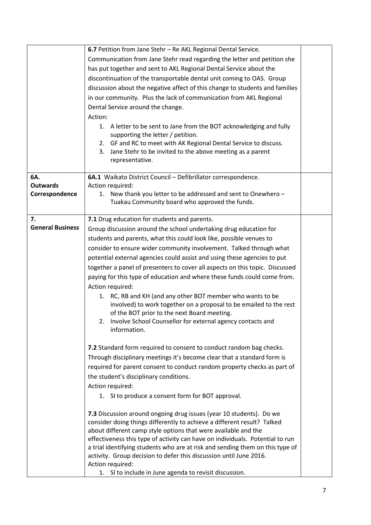|                         | 6.7 Petition from Jane Stehr - Re AKL Regional Dental Service.                                                                                  |  |
|-------------------------|-------------------------------------------------------------------------------------------------------------------------------------------------|--|
|                         | Communication from Jane Stehr read regarding the letter and petition she                                                                        |  |
|                         |                                                                                                                                                 |  |
|                         | has put together and sent to AKL Regional Dental Service about the                                                                              |  |
|                         | discontinuation of the transportable dental unit coming to OAS. Group                                                                           |  |
|                         | discussion about the negative affect of this change to students and families                                                                    |  |
|                         | in our community. Plus the lack of communication from AKL Regional                                                                              |  |
|                         | Dental Service around the change.                                                                                                               |  |
|                         | Action:                                                                                                                                         |  |
|                         | 1. A letter to be sent to Jane from the BOT acknowledging and fully                                                                             |  |
|                         | supporting the letter / petition.                                                                                                               |  |
|                         | 2. GF and RC to meet with AK Regional Dental Service to discuss.                                                                                |  |
|                         | Jane Stehr to be invited to the above meeting as a parent<br>3.                                                                                 |  |
|                         | representative.                                                                                                                                 |  |
| 6A.                     | 6A.1 Waikato District Council - Defibrillator correspondence.                                                                                   |  |
| <b>Outwards</b>         | Action required:                                                                                                                                |  |
| Correspondence          | 1. New thank you letter to be addressed and sent to Onewhero -                                                                                  |  |
|                         | Tuakau Community board who approved the funds.                                                                                                  |  |
|                         |                                                                                                                                                 |  |
| 7.                      | 7.1 Drug education for students and parents.                                                                                                    |  |
| <b>General Business</b> | Group discussion around the school undertaking drug education for                                                                               |  |
|                         | students and parents, what this could look like, possible venues to                                                                             |  |
|                         | consider to ensure wider community involvement. Talked through what                                                                             |  |
|                         | potential external agencies could assist and using these agencies to put                                                                        |  |
|                         | together a panel of presenters to cover all aspects on this topic. Discussed                                                                    |  |
|                         | paying for this type of education and where these funds could come from.                                                                        |  |
|                         | Action required:                                                                                                                                |  |
|                         | 1. RC, RB and KH (and any other BOT member who wants to be                                                                                      |  |
|                         | involved) to work together on a proposal to be emailed to the rest                                                                              |  |
|                         | of the BOT prior to the next Board meeting.                                                                                                     |  |
|                         | Involve School Counsellor for external agency contacts and<br>2.                                                                                |  |
|                         | information.                                                                                                                                    |  |
|                         |                                                                                                                                                 |  |
|                         | 7.2 Standard form required to consent to conduct random bag checks.                                                                             |  |
|                         | Through disciplinary meetings it's become clear that a standard form is                                                                         |  |
|                         | required for parent consent to conduct random property checks as part of                                                                        |  |
|                         | the student's disciplinary conditions.                                                                                                          |  |
|                         | Action required:                                                                                                                                |  |
|                         | 1. SI to produce a consent form for BOT approval.                                                                                               |  |
|                         |                                                                                                                                                 |  |
|                         | 7.3 Discussion around ongoing drug issues (year 10 students). Do we                                                                             |  |
|                         | consider doing things differently to achieve a different result? Talked                                                                         |  |
|                         | about different camp style options that were available and the<br>effectiveness this type of activity can have on individuals. Potential to run |  |
|                         | a trial identifying students who are at risk and sending them on this type of                                                                   |  |
|                         | activity. Group decision to defer this discussion until June 2016.                                                                              |  |
|                         | Action required:                                                                                                                                |  |
|                         | 1. SI to include in June agenda to revisit discussion.                                                                                          |  |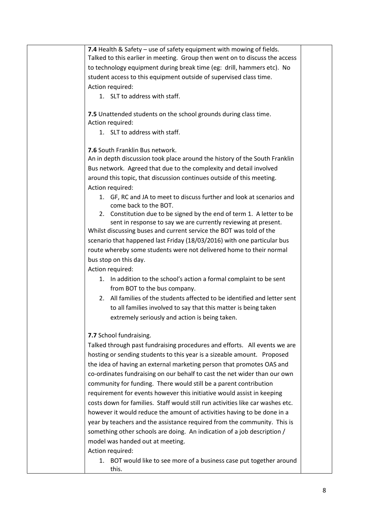**7.4** Health & Safety – use of safety equipment with mowing of fields. Talked to this earlier in meeting. Group then went on to discuss the access to technology equipment during break time (eg: drill, hammers etc). No student access to this equipment outside of supervised class time. Action required:

1. SLT to address with staff.

**7.5** Unattended students on the school grounds during class time. Action required:

1. SLT to address with staff.

**7.6** South Franklin Bus network.

An in depth discussion took place around the history of the South Franklin Bus network. Agreed that due to the complexity and detail involved around this topic, that discussion continues outside of this meeting. Action required:

- 1. GF, RC and JA to meet to discuss further and look at scenarios and come back to the BOT.
- 2. Constitution due to be signed by the end of term 1. A letter to be sent in response to say we are currently reviewing at present.

Whilst discussing buses and current service the BOT was told of the scenario that happened last Friday (18/03/2016) with one particular bus route whereby some students were not delivered home to their normal bus stop on this day.

Action required:

- 1. In addition to the school's action a formal complaint to be sent from BOT to the bus company.
- 2. All families of the students affected to be identified and letter sent to all families involved to say that this matter is being taken extremely seriously and action is being taken.

## **7.7** School fundraising.

Talked through past fundraising procedures and efforts. All events we are hosting or sending students to this year is a sizeable amount. Proposed the idea of having an external marketing person that promotes OAS and co-ordinates fundraising on our behalf to cast the net wider than our own community for funding. There would still be a parent contribution requirement for events however this initiative would assist in keeping costs down for families. Staff would still run activities like car washes etc. however it would reduce the amount of activities having to be done in a year by teachers and the assistance required from the community. This is something other schools are doing. An indication of a job description / model was handed out at meeting.

Action required:

1. BOT would like to see more of a business case put together around this.